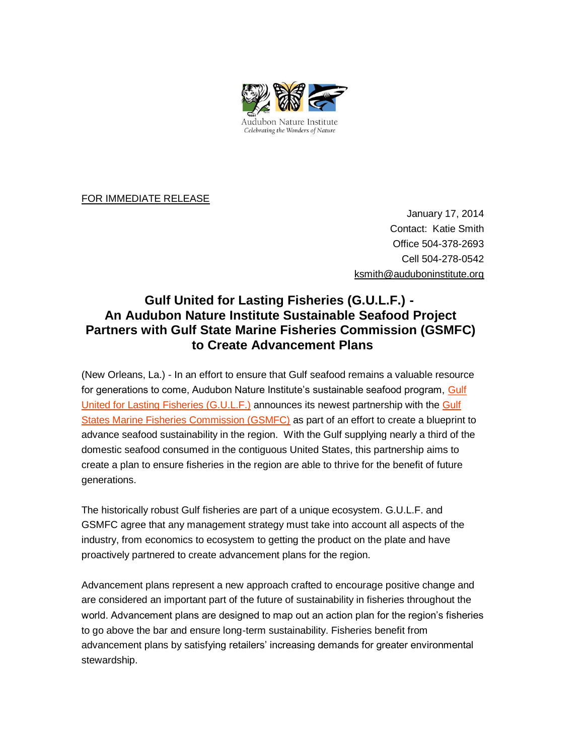

FOR IMMEDIATE RELEASE

January 17, 2014 Contact: Katie Smith Office 504-378-2693 Cell 504-278-0542 [ksmith@auduboninstitute.org](mailto:ksmith@auduboninstitute.org)

## **Gulf United for Lasting Fisheries (G.U.L.F.) - An Audubon Nature Institute Sustainable Seafood Project Partners with Gulf State Marine Fisheries Commission (GSMFC) to Create Advancement Plans**

(New Orleans, La.) - In an effort to ensure that Gulf seafood remains a valuable resource for generations to come, Audubon Nature Institute's sustainable seafood program, [Gulf](http://www.audubongulf.org/)  [United for Lasting Fisheries \(G.U.L.F.\)](http://www.audubongulf.org/) announces its newest partnership with the [Gulf](http://www.gsmfc.org/)  [States Marine Fisheries Commission \(GSMFC\)](http://www.gsmfc.org/) as part of an effort to create a blueprint to advance seafood sustainability in the region. With the Gulf supplying nearly a third of the domestic seafood consumed in the contiguous United States, this partnership aims to create a plan to ensure fisheries in the region are able to thrive for the benefit of future generations.

The historically robust Gulf fisheries are part of a unique ecosystem. G.U.L.F. and GSMFC agree that any management strategy must take into account all aspects of the industry, from economics to ecosystem to getting the product on the plate and have proactively partnered to create advancement plans for the region.

Advancement plans represent a new approach crafted to encourage positive change and are considered an important part of the future of sustainability in fisheries throughout the world. Advancement plans are designed to map out an action plan for the region's fisheries to go above the bar and ensure long-term sustainability. Fisheries benefit from advancement plans by satisfying retailers' increasing demands for greater environmental stewardship.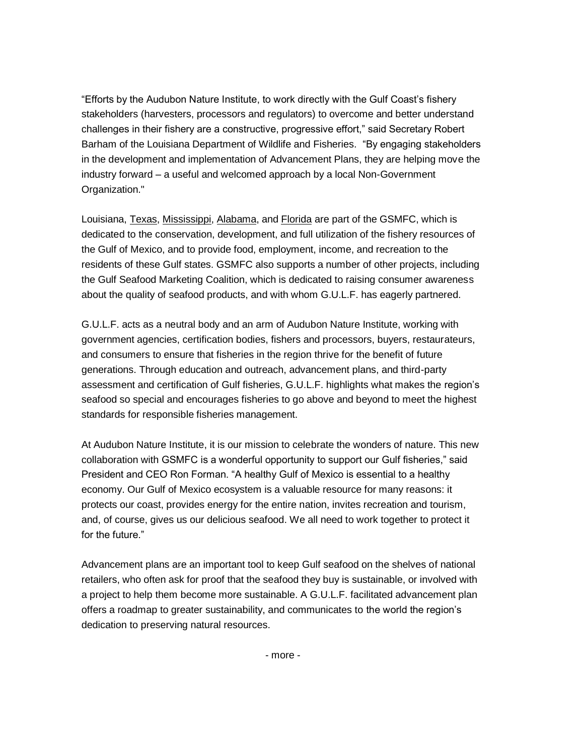"Efforts by the Audubon Nature Institute, to work directly with the Gulf Coast's fishery stakeholders (harvesters, processors and regulators) to overcome and better understand challenges in their fishery are a constructive, progressive effort," said Secretary Robert Barham of the Louisiana Department of Wildlife and Fisheries. "By engaging stakeholders in the development and implementation of Advancement Plans, they are helping move the industry forward – a useful and welcomed approach by a local Non-Government Organization."

Louisiana, [Texas,](http://www.tpwd.state.tx.us/) [Mississippi,](http://www.dmr.state.ms.us/) [Alabama,](http://www.dcnr.state.al.us/) and [Florida](http://www.floridaconservation.org/) are part of the GSMFC, which is dedicated to the conservation, development, and full utilization of the fishery resources of the Gulf of Mexico, and to provide food, employment, income, and recreation to the residents of these Gulf states. GSMFC also supports a number of other projects, including the Gulf Seafood Marketing Coalition, which is dedicated to raising consumer awareness about the quality of seafood products, and with whom G.U.L.F. has eagerly partnered.

G.U.L.F. acts as a neutral body and an arm of Audubon Nature Institute, working with government agencies, certification bodies, fishers and processors, buyers, restaurateurs, and consumers to ensure that fisheries in the region thrive for the benefit of future generations. Through education and outreach, advancement plans, and third-party assessment and certification of Gulf fisheries, G.U.L.F. highlights what makes the region's seafood so special and encourages fisheries to go above and beyond to meet the highest standards for responsible fisheries management.

At Audubon Nature Institute, it is our mission to celebrate the wonders of nature. This new collaboration with GSMFC is a wonderful opportunity to support our Gulf fisheries," said President and CEO Ron Forman. "A healthy Gulf of Mexico is essential to a healthy economy. Our Gulf of Mexico ecosystem is a valuable resource for many reasons: it protects our coast, provides energy for the entire nation, invites recreation and tourism, and, of course, gives us our delicious seafood. We all need to work together to protect it for the future."

Advancement plans are an important tool to keep Gulf seafood on the shelves of national retailers, who often ask for proof that the seafood they buy is sustainable, or involved with a project to help them become more sustainable. A G.U.L.F. facilitated advancement plan offers a roadmap to greater sustainability, and communicates to the world the region's dedication to preserving natural resources.

- more -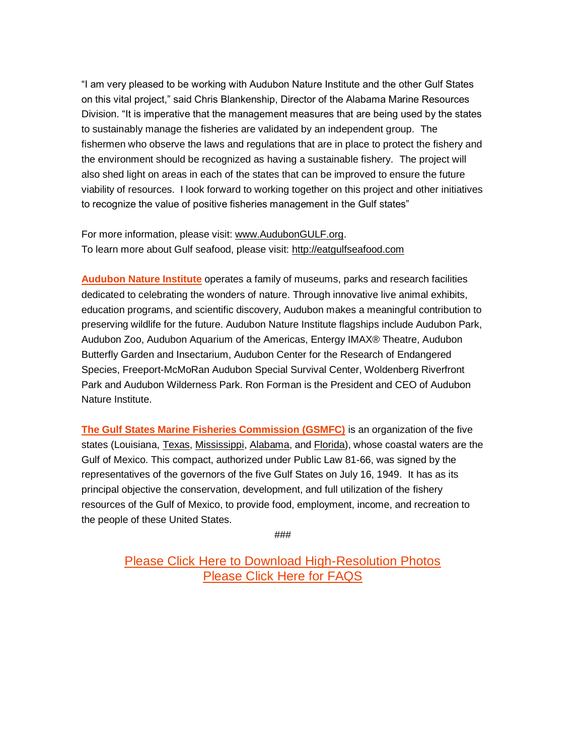"I am very pleased to be working with Audubon Nature Institute and the other Gulf States on this vital project," said Chris Blankenship, Director of the Alabama Marine Resources Division. "It is imperative that the management measures that are being used by the states to sustainably manage the fisheries are validated by an independent group. The fishermen who observe the laws and regulations that are in place to protect the fishery and the environment should be recognized as having a sustainable fishery. The project will also shed light on areas in each of the states that can be improved to ensure the future viability of resources. I look forward to working together on this project and other initiatives to recognize the value of positive fisheries management in the Gulf states"

For more information, please visit: [www.AudubonGULF.org.](http://www.audubongulf.org/) To learn more about Gulf seafood, please visit: [http://eatgulfseafood.com](http://eatgulfseafood.com/)

**[Audubon Nature Institute](http://www.auduboninstitute.org/)** operates a family of museums, parks and research facilities dedicated to celebrating the wonders of nature. Through innovative live animal exhibits, education programs, and scientific discovery, Audubon makes a meaningful contribution to preserving wildlife for the future. Audubon Nature Institute flagships include Audubon Park, Audubon Zoo, Audubon Aquarium of the Americas, Entergy IMAX® Theatre, Audubon Butterfly Garden and Insectarium, Audubon Center for the Research of Endangered Species, Freeport-McMoRan Audubon Special Survival Center, Woldenberg Riverfront Park and Audubon Wilderness Park. Ron Forman is the President and CEO of Audubon Nature Institute.

**[The Gulf States Marine Fisheries Commission \(GSMFC\)](http://www.gsmfc.org/)** is an organization of the five states (Louisiana, [Texas,](http://www.tpwd.state.tx.us/) [Mississippi,](http://www.dmr.state.ms.us/) [Alabama,](http://www.dcnr.state.al.us/) and [Florida\)](http://www.floridaconservation.org/), whose coastal waters are the Gulf of Mexico. This compact, authorized under Public Law 81-66, was signed by the representatives of the governors of the five Gulf States on July 16, 1949. It has as its principal objective the conservation, development, and full utilization of the fishery resources of the Gulf of Mexico, to provide food, employment, income, and recreation to the people of these United States.

###

[Please Click Here to Download High-Resolution Photos](https://app.box.com/s/n2dp2tr4oohfk2zw8v4a) [Please Click Here for FAQS](https://app.box.com/s/dvwsbrvd0ng4862et2a8)